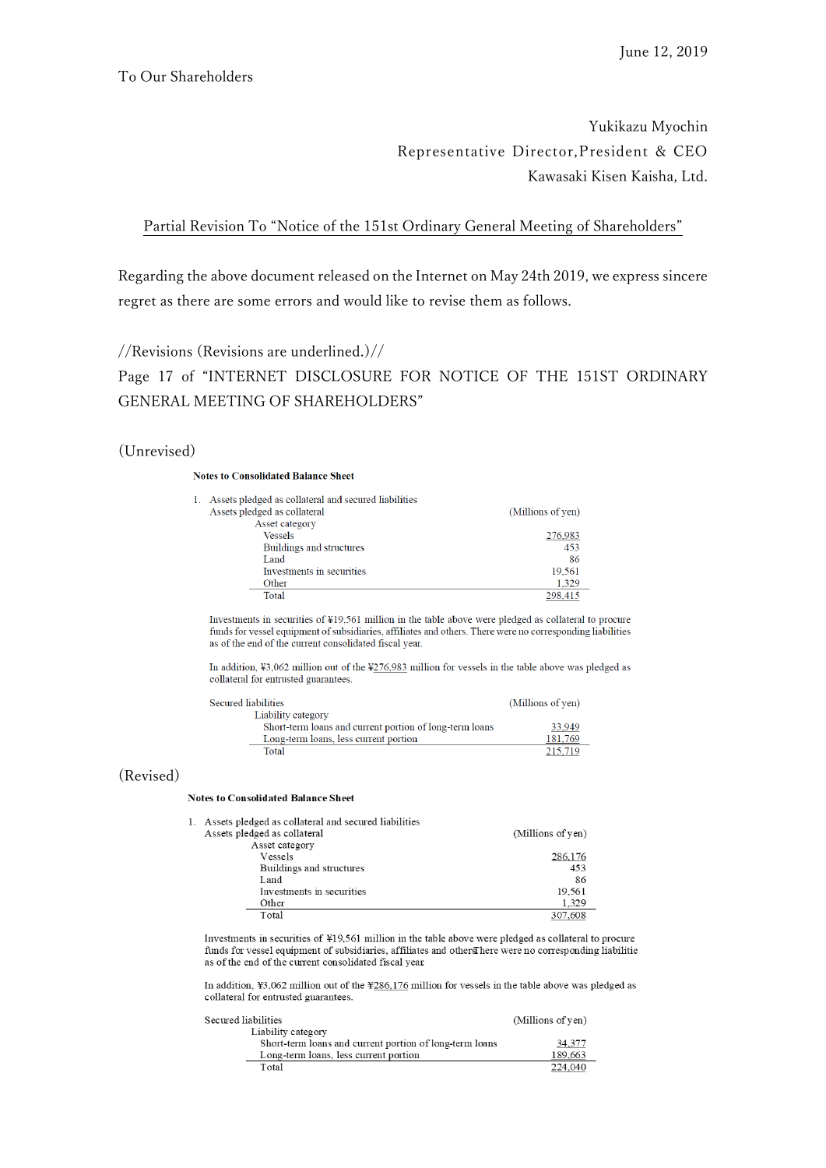# Yukikazu Myochin Representative Director,President & CEO Kawasaki Kisen Kaisha, Ltd.

Partial Revision To "Notice of the 151st Ordinary General Meeting of Shareholders"

Regarding the above document released on the Internet on May 24th 2019, we express sincere regret as there are some errors and would like to revise them as follows.

//Revisions (Revisions are underlined.)//

Page 17 of "INTERNET DISCLOSURE FOR NOTICE OF THE 151ST ORDINARY GENERAL MEETING OF SHAREHOLDERS"

## (Unrevised)

 $\overline{1}$ .

Se

 $\overline{1}$ .

Sec

### **Notes to Consolidated Balance Sheet**

| Assets pledged as collateral and secured liabilities |                   |
|------------------------------------------------------|-------------------|
| Assets pledged as collateral                         | (Millions of yen) |
| Asset category                                       |                   |
| <b>Vessels</b>                                       | 276,983           |
| Buildings and structures                             | 453               |
| Land                                                 | 86                |
| Investments in securities                            | 19.561            |
| Other                                                | 1,329             |
| Total                                                | 298.415           |

Investments in securities of ¥19,561 million in the table above were pledged as collateral to procure funds for vessel equipment of subsidiaries, affiliates and others. There were no corresponding liabilities as of the end of the current consolidated fiscal year.

In addition,  $\frac{1}{2}3.062$  million out of the  $\frac{1}{276.983}$  million for vessels in the table above was pledged as collateral for entrusted guarantees.

| cured liabilities                                       | (Millions of yen) |
|---------------------------------------------------------|-------------------|
| Liability category                                      |                   |
| Short-term loans and current portion of long-term loans | 33.949            |
| Long-term loans, less current portion                   | 181.769           |
| Total                                                   | 215,719           |

## (Revised)

#### **Notes to Consolidated Balance Sheet**

| Assets pledged as collateral and secured liabilities |                   |
|------------------------------------------------------|-------------------|
| Assets pledged as collateral                         | (Millions of yen) |
| Asset category                                       |                   |
| Vessels                                              | 286,176           |
| Buildings and structures                             | 453               |
| Land                                                 | 86                |
| Investments in securities                            | 19,561            |
| Other                                                | 1.329             |
| Total                                                | 307,608           |
|                                                      |                   |

Investments in securities of ¥19,561 million in the table above were pledged as collateral to procure funds for vessel equipment of subsidiaries, affiliates and others here were no corresponding liabilitie as of the end of the current consolidated fiscal year.

In addition,  $\text{\#3,062}$  million out of the  $\text{\#286,176}$  million for vessels in the table above was pledged as collateral for entrusted guarantees.

| ured liabilities                                        | (Millions of yen) |
|---------------------------------------------------------|-------------------|
| Liability category                                      |                   |
| Short-term loans and current portion of long-term loans | 34,377            |
| Long-term loans, less current portion                   | 189,663           |
| Total                                                   | 224,040           |